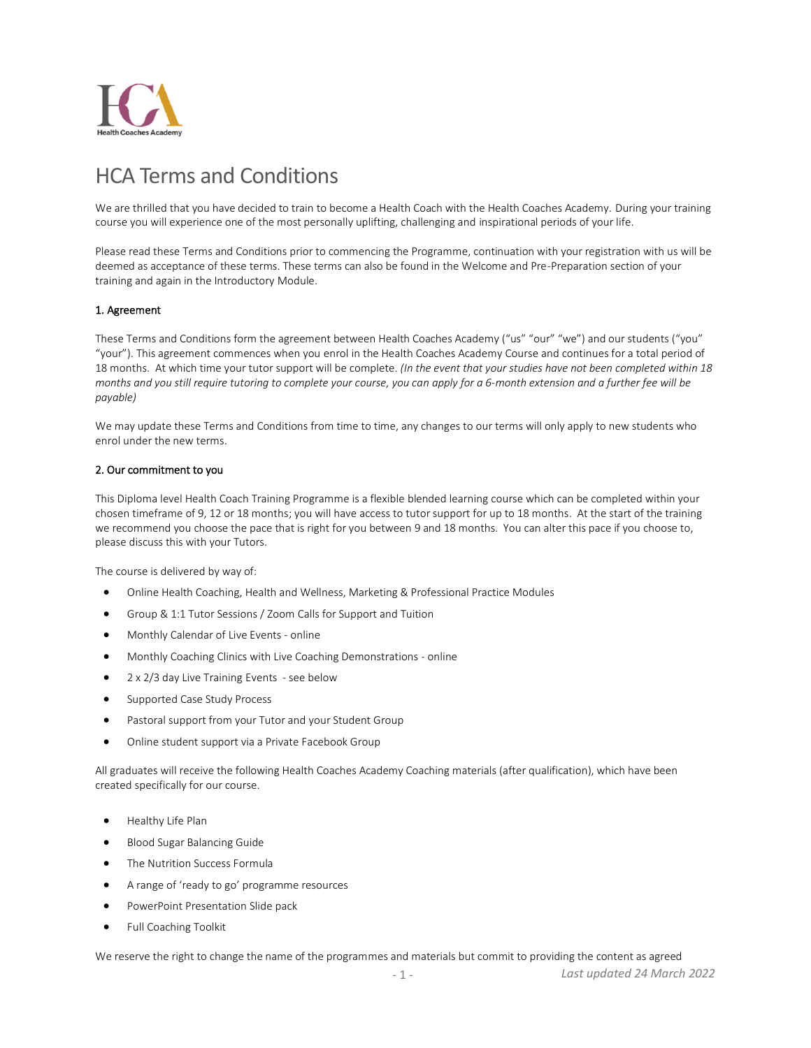

# HCA Terms and Conditions

We are thrilled that you have decided to train to become a Health Coach with the Health Coaches Academy. During your training course you will experience one of the most personally uplifting, challenging and inspirational periods of your life.

Please read these Terms and Conditions prior to commencing the Programme, continuation with your registration with us will be deemed as acceptance of these terms. These terms can also be found in the Welcome and Pre-Preparation section of your training and again in the Introductory Module.

### 1. Agreement

These Terms and Conditions form the agreement between Health Coaches Academy ("us" "our" "we") and our students ("you" "your"). This agreement commences when you enrol in the Health Coaches Academy Course and continues for a total period of 18 months. At which time your tutor support will be complete. *(In the event that your studies have not been completed within 18 months and you still require tutoring to complete your course, you can apply for a 6-month extension and a further fee will be payable)*

We may update these Terms and Conditions from time to time, any changes to our terms will only apply to new students who enrol under the new terms.

### 2. Our commitment to you

This Diploma level Health Coach Training Programme is a flexible blended learning course which can be completed within your chosen timeframe of 9, 12 or 18 months; you will have access to tutor support for up to 18 months. At the start of the training we recommend you choose the pace that is right for you between 9 and 18 months. You can alter this pace if you choose to, please discuss this with your Tutors.

The course is delivered by way of:

- Online Health Coaching, Health and Wellness, Marketing & Professional Practice Modules
- Group & 1:1 Tutor Sessions / Zoom Calls for Support and Tuition
- Monthly Calendar of Live Events online
- Monthly Coaching Clinics with Live Coaching Demonstrations online
- 2 x 2/3 day Live Training Events see below
- Supported Case Study Process
- Pastoral support from your Tutor and your Student Group
- Online student support via a Private Facebook Group

All graduates will receive the following Health Coaches Academy Coaching materials (after qualification), which have been created specifically for our course.

- Healthy Life Plan
- Blood Sugar Balancing Guide
- The Nutrition Success Formula
- A range of 'ready to go' programme resources
- PowerPoint Presentation Slide pack
- Full Coaching Toolkit

We reserve the right to change the name of the programmes and materials but commit to providing the content as agreed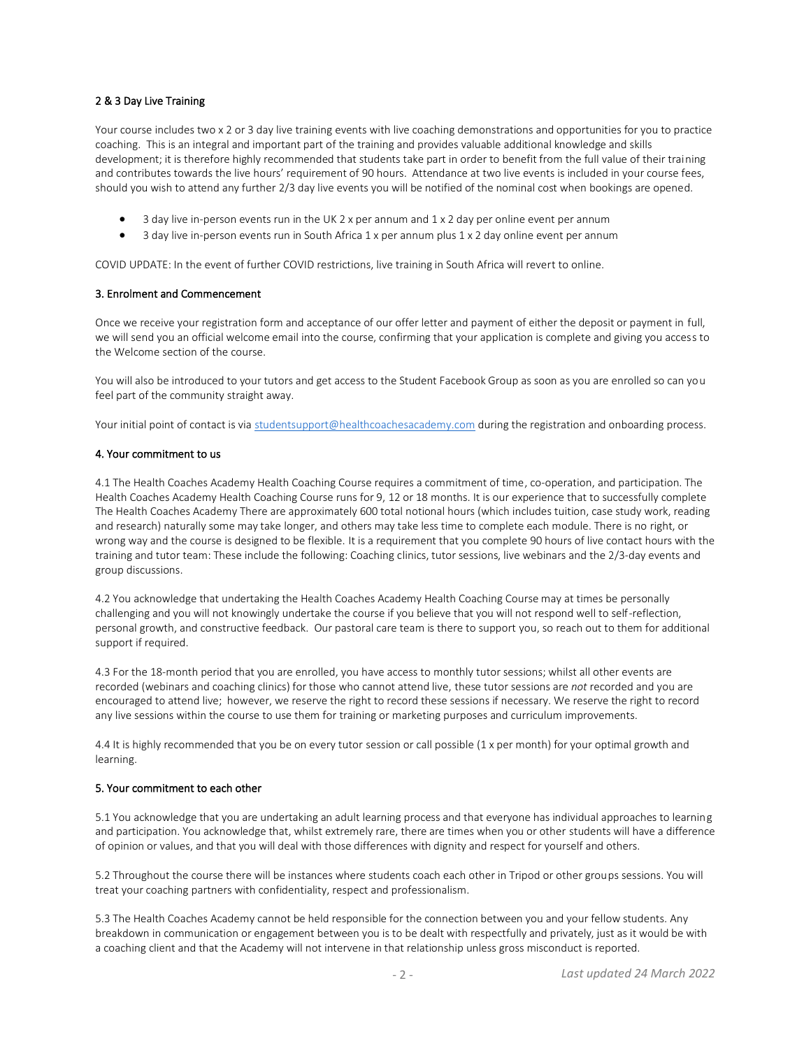### 2 & 3 Day Live Training

Your course includes two x 2 or 3 day live training events with live coaching demonstrations and opportunities for you to practice coaching. This is an integral and important part of the training and provides valuable additional knowledge and skills development; it is therefore highly recommended that students take part in order to benefit from the full value of their training and contributes towards the live hours' requirement of 90 hours. Attendance at two live events is included in your course fees, should you wish to attend any further 2/3 day live events you will be notified of the nominal cost when bookings are opened.

- 3 day live in-person events run in the UK 2 x per annum and 1 x 2 day per online event per annum
- 3 day live in-person events run in South Africa 1 x per annum plus 1 x 2 day online event per annum

COVID UPDATE: In the event of further COVID restrictions, live training in South Africa will revert to online.

#### 3. Enrolment and Commencement

Once we receive your registration form and acceptance of our offer letter and payment of either the deposit or payment in full, we will send you an official welcome email into the course, confirming that your application is complete and giving you access to the Welcome section of the course.

You will also be introduced to your tutors and get access to the Student Facebook Group as soon as you are enrolled so can you feel part of the community straight away.

Your initial point of contact is via [studentsupport@healthcoachesacademy.com](mailto:alison@healthcoachesacademy.co.za) during the registration and onboarding process.

#### 4. Your commitment to us

4.1 The Health Coaches Academy Health Coaching Course requires a commitment of time, co-operation, and participation. The Health Coaches Academy Health Coaching Course runs for 9, 12 or 18 months. It is our experience that to successfully complete The Health Coaches Academy There are approximately 600 total notional hours (which includes tuition, case study work, reading and research) naturally some may take longer, and others may take less time to complete each module. There is no right, or wrong way and the course is designed to be flexible. It is a requirement that you complete 90 hours of live contact hours with the training and tutor team: These include the following: Coaching clinics, tutor sessions, live webinars and the 2/3-day events and group discussions.

4.2 You acknowledge that undertaking the Health Coaches Academy Health Coaching Course may at times be personally challenging and you will not knowingly undertake the course if you believe that you will not respond well to self-reflection, personal growth, and constructive feedback. Our pastoral care team is there to support you, so reach out to them for additional support if required.

4.3 For the 18-month period that you are enrolled, you have access to monthly tutor sessions; whilst all other events are recorded (webinars and coaching clinics) for those who cannot attend live, these tutor sessions are *not* recorded and you are encouraged to attend live; however, we reserve the right to record these sessions if necessary. We reserve the right to record any live sessions within the course to use them for training or marketing purposes and curriculum improvements.

4.4 It is highly recommended that you be on every tutor session or call possible (1 x per month) for your optimal growth and learning.

# 5. Your commitment to each other

5.1 You acknowledge that you are undertaking an adult learning process and that everyone has individual approaches to learning and participation. You acknowledge that, whilst extremely rare, there are times when you or other students will have a difference of opinion or values, and that you will deal with those differences with dignity and respect for yourself and others.

5.2 Throughout the course there will be instances where students coach each other in Tripod or other groups sessions. You will treat your coaching partners with confidentiality, respect and professionalism.

5.3 The Health Coaches Academy cannot be held responsible for the connection between you and your fellow students. Any breakdown in communication or engagement between you is to be dealt with respectfully and privately, just as it would be with a coaching client and that the Academy will not intervene in that relationship unless gross misconduct is reported.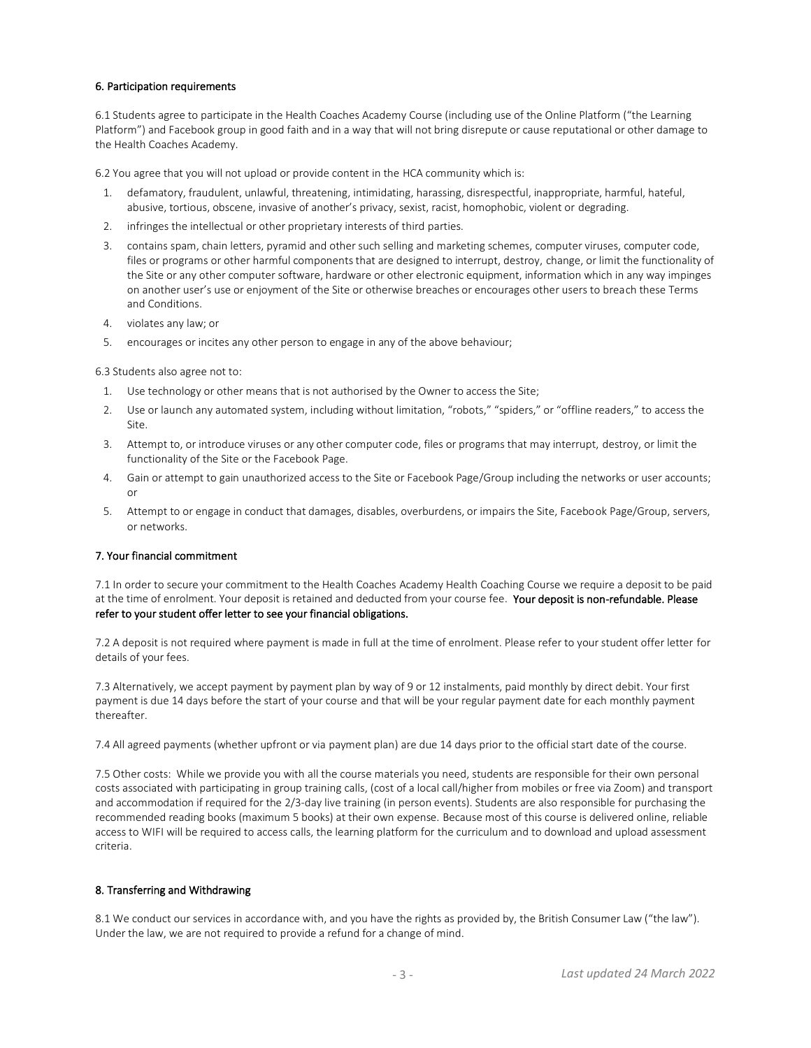#### 6. Participation requirements

6.1 Students agree to participate in the Health Coaches Academy Course (including use of the Online Platform ("the Learning Platform") and Facebook group in good faith and in a way that will not bring disrepute or cause reputational or other damage to the Health Coaches Academy.

6.2 You agree that you will not upload or provide content in the HCA community which is:

- 1. defamatory, fraudulent, unlawful, threatening, intimidating, harassing, disrespectful, inappropriate, harmful, hateful, abusive, tortious, obscene, invasive of another's privacy, sexist, racist, homophobic, violent or degrading.
- 2. infringes the intellectual or other proprietary interests of third parties.
- 3. contains spam, chain letters, pyramid and other such selling and marketing schemes, computer viruses, computer code, files or programs or other harmful components that are designed to interrupt, destroy, change, or limit the functionality of the Site or any other computer software, hardware or other electronic equipment, information which in any way impinges on another user's use or enjoyment of the Site or otherwise breaches or encourages other users to breach these Terms and Conditions.
- 4. violates any law; or
- 5. encourages or incites any other person to engage in any of the above behaviour;

6.3 Students also agree not to:

- 1. Use technology or other means that is not authorised by the Owner to access the Site;
- 2. Use or launch any automated system, including without limitation, "robots," "spiders," or "offline readers," to access the Site.
- 3. Attempt to, or introduce viruses or any other computer code, files or programs that may interrupt, destroy, or limit the functionality of the Site or the Facebook Page.
- 4. Gain or attempt to gain unauthorized access to the Site or Facebook Page/Group including the networks or user accounts; or
- 5. Attempt to or engage in conduct that damages, disables, overburdens, or impairs the Site, Facebook Page/Group, servers, or networks.

### 7. Your financial commitment

7.1 In order to secure your commitment to the Health Coaches Academy Health Coaching Course we require a deposit to be paid at the time of enrolment. Your deposit is retained and deducted from your course fee. Your deposit is non-refundable. Please refer to your student offer letter to see your financial obligations.

7.2 A deposit is not required where payment is made in full at the time of enrolment. Please refer to your student offer letter for details of your fees.

7.3 Alternatively, we accept payment by payment plan by way of 9 or 12 instalments, paid monthly by direct debit. Your first payment is due 14 days before the start of your course and that will be your regular payment date for each monthly payment thereafter.

7.4 All agreed payments (whether upfront or via payment plan) are due 14 days prior to the official start date of the course.

7.5 Other costs: While we provide you with all the course materials you need, students are responsible for their own personal costs associated with participating in group training calls, (cost of a local call/higher from mobiles or free via Zoom) and transport and accommodation if required for the 2/3-day live training (in person events). Students are also responsible for purchasing the recommended reading books (maximum 5 books) at their own expense. Because most of this course is delivered online, reliable access to WIFI will be required to access calls, the learning platform for the curriculum and to download and upload assessment criteria.

### 8. Transferring and Withdrawing

8.1 We conduct our services in accordance with, and you have the rights as provided by, the British Consumer Law ("the law"). Under the law, we are not required to provide a refund for a change of mind.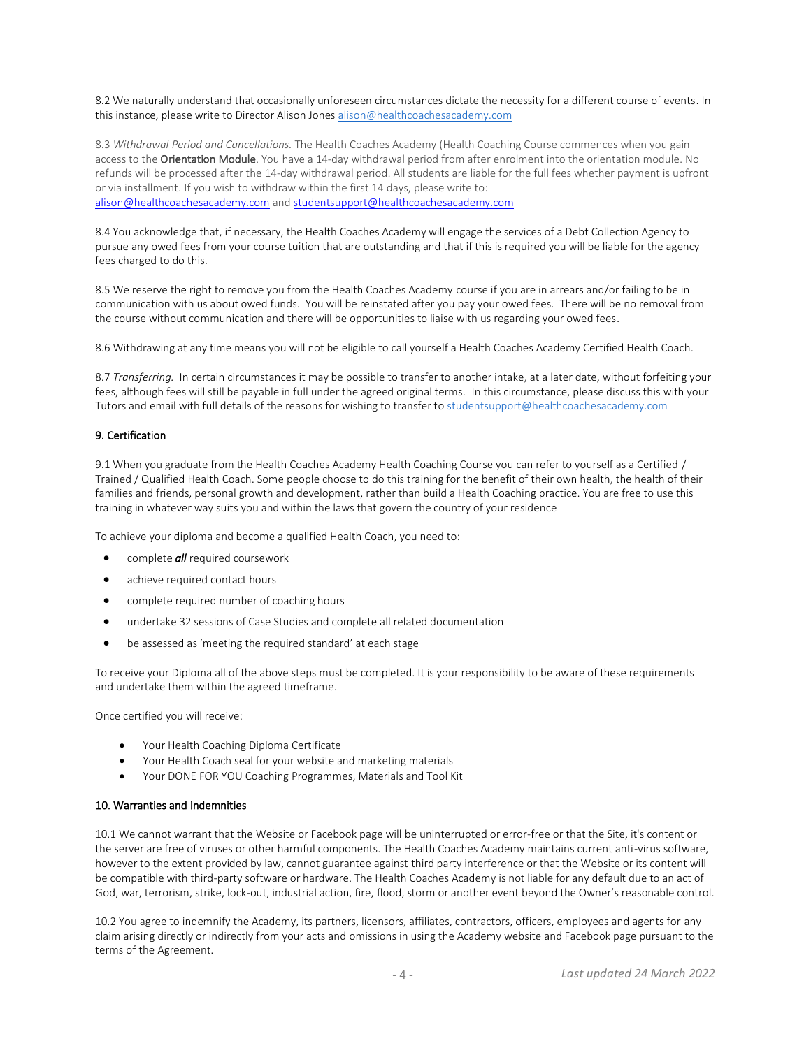8.2 We naturally understand that occasionally unforeseen circumstances dictate the necessity for a different course of events. In this instance, please write to Director Alison Jones [alison@healthcoachesacademy.com](mailto:alison@healthcoachesacademy.com)

8.3 *Withdrawal Period and Cancellations.* The Health Coaches Academy (Health Coaching Course commences when you gain access to the Orientation Module. You have a 14-day withdrawal period from after enrolment into the orientation module. No refunds will be processed after the 14-day withdrawal period. All students are liable for the full fees whether payment is upfront or via installment. If you wish to withdraw within the first 14 days, please write to: [alison@healthcoachesacademy.com](mailto:alison@healthcoachesacademy.com) an[d studentsupport@healthcoachesacademy.com](mailto:studentsupport@healthcoachesacademy.com)

8.4 You acknowledge that, if necessary, the Health Coaches Academy will engage the services of a Debt Collection Agency to pursue any owed fees from your course tuition that are outstanding and that if this is required you will be liable for the agency fees charged to do this.

8.5 We reserve the right to remove you from the Health Coaches Academy course if you are in arrears and/or failing to be in communication with us about owed funds. You will be reinstated after you pay your owed fees. There will be no removal from the course without communication and there will be opportunities to liaise with us regarding your owed fees.

8.6 Withdrawing at any time means you will not be eligible to call yourself a Health Coaches Academy Certified Health Coach.

8.7 *Transferring.* In certain circumstances it may be possible to transfer to another intake, at a later date, without forfeiting your fees, although fees will still be payable in full under the agreed original terms. In this circumstance, please discuss this with your Tutors and email with full details of the reasons for wishing to transfer to studentsupport@healthcoachesacademy.com

### 9. Certification

9.1 When you graduate from the Health Coaches Academy Health Coaching Course you can refer to yourself as a Certified / Trained / Qualified Health Coach. Some people choose to do this training for the benefit of their own health, the health of their families and friends, personal growth and development, rather than build a Health Coaching practice. You are free to use this training in whatever way suits you and within the laws that govern the country of your residence

To achieve your diploma and become a qualified Health Coach, you need to:

- complete *all* required coursework
- achieve required contact hours
- complete required number of coaching hours
- undertake 32 sessions of Case Studies and complete all related documentation
- be assessed as 'meeting the required standard' at each stage

To receive your Diploma all of the above steps must be completed. It is your responsibility to be aware of these requirements and undertake them within the agreed timeframe.

Once certified you will receive:

- Your Health Coaching Diploma Certificate
- Your Health Coach seal for your website and marketing materials
- Your DONE FOR YOU Coaching Programmes, Materials and Tool Kit

#### 10. Warranties and Indemnities

10.1 We cannot warrant that the Website or Facebook page will be uninterrupted or error-free or that the Site, it's content or the server are free of viruses or other harmful components. The Health Coaches Academy maintains current anti-virus software, however to the extent provided by law, cannot guarantee against third party interference or that the Website or its content will be compatible with third-party software or hardware. The Health Coaches Academy is not liable for any default due to an act of God, war, terrorism, strike, lock-out, industrial action, fire, flood, storm or another event beyond the Owner's reasonable control.

10.2 You agree to indemnify the Academy, its partners, licensors, affiliates, contractors, officers, employees and agents for any claim arising directly or indirectly from your acts and omissions in using the Academy website and Facebook page pursuant to the terms of the Agreement.